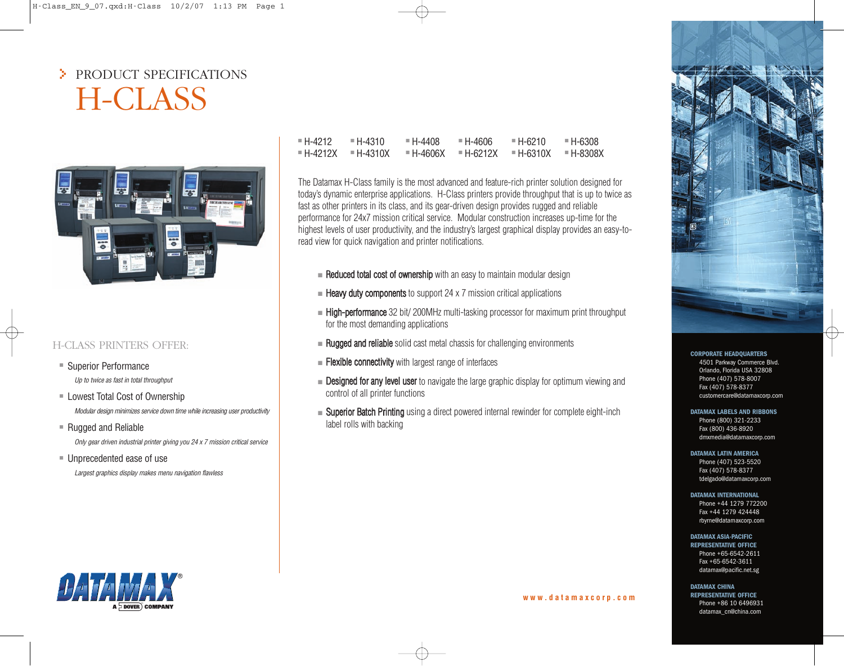# > PRODUCT SPECIFICATIONS H-CLASS



# H-CLASS PRINTERS OFFER:

- Superior Performance *Up to twice as fast in total throughput*
- Lowest Total Cost of Ownership *Modular design minimizes service down time while increasing user productivity*
- Rugged and Reliable *Only gear driven industrial printer giving you 24 x 7 mission critical service*
- Unprecedented ease of use *Largest graphics display makes menu navigation flawless*

| ■ H-4212 I                | $= H - 4310$ | = H-4408  | ■ H-4606  | = H-6210    | ■ H-6308  |
|---------------------------|--------------|-----------|-----------|-------------|-----------|
| $= H - 4212X = H - 4310X$ |              | ■ H-4606X | E H-6212X | $=$ H-6310X | ■ H-8308X |

The Datamax H-Class family is the most advanced and feature-rich printer solution designed for today's dynamic enterprise applications. H-Class printers provide throughput that is up to twice as fast as other printers in its class, and its gear-driven design provides rugged and reliable performance for 24x7 mission critical service. Modular construction increases up-time for the highest levels of user productivity, and the industry's largest graphical display provides an easy-toread view for quick navigation and printer notifications.

- Reduced total cost of ownership with an easy to maintain modular design
- $\blacksquare$  Heavy duty components to support 24 x 7 mission critical applications
- High-performance 32 bit/ 200MHz multi-tasking processor for maximum print throughput for the most demanding applications
- $\blacksquare$  Rugged and reliable solid cast metal chassis for challenging environments
- **Elexible connectivity** with largest range of interfaces
- Designed for any level user to navigate the large graphic display for optimum viewing and control of all printer functions
- Superior Batch Printing using a direct powered internal rewinder for complete eight-inch label rolls with backing



## **CORPORATE HEADQUARTERS**

4501 Parkway Commerce Blvd. Orlando, Florida USA 32808 Phone (407) 578-8007 Fax (407) 578-8377 customercare@datamaxcorp.com

#### **DATAMAX LABELS AND RIBBONS**

Phone (800) 321-2233 Fax (800) 436-8920 dmxmedia@datamaxcorp.com

#### **DATAMAX LATIN AMERICA**

Phone (407) 523-5520 Fax (407) 578-8377 tdelgado@datamaxcorp.com

#### **DATAMAX INTERNATIONAL**

Phone +44 1279 772200 Fax +44 1279 424448 rbyrne@datamaxcorp.com

### **DATAMAX ASIA-PACIFIC**

**REPRESENTATIVE OFFICE** Phone +65-6542-2611 Fax +65-6542-3611 datamax@pacific.net.sg

# **DATAMAX CHINA**

**REPRESENTATIVE OFFICE** Phone +86 10 6496931 datamax\_cn@china.com



## **w w w . d a t a m a x c o r p . c o m**